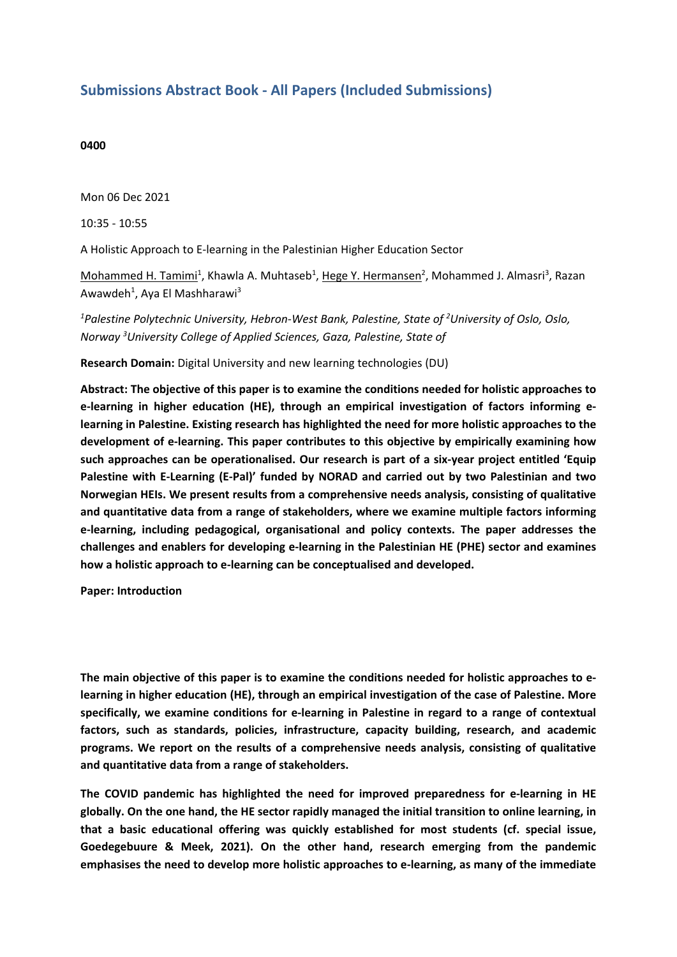## **Submissions Abstract Book - All Papers (Included Submissions)**

## **0400**

Mon 06 Dec 2021

10:35 - 10:55

A Holistic Approach to E-learning in the Palestinian Higher Education Sector

Mohammed H. Tamimi<sup>1</sup>, Khawla A. Muhtaseb<sup>1</sup>, <u>Hege Y. Hermansen</u><sup>2</sup>, Mohammed J. Almasri<sup>3</sup>, Razan Awawdeh<sup>1</sup>, Aya El Mashharawi<sup>3</sup>

*1 Palestine Polytechnic University, Hebron-West Bank, Palestine, State of 2 University of Oslo, Oslo, Norway 3 University College of Applied Sciences, Gaza, Palestine, State of*

**Research Domain:** Digital University and new learning technologies (DU)

**Abstract: The objective of this paper is to examine the conditions needed for holistic approaches to e-learning in higher education (HE), through an empirical investigation of factors informing elearning in Palestine. Existing research has highlighted the need for more holistic approaches to the development of e-learning. This paper contributes to this objective by empirically examining how such approaches can be operationalised. Our research is part of <sup>a</sup> six-year project entitled 'Equip Palestine with E-Learning (E-Pal)' funded by NORAD and carried out by two Palestinian and two Norwegian HEIs. We present results from <sup>a</sup> comprehensive needs analysis, consisting of qualitative and quantitative data from <sup>a</sup> range of stakeholders, where we examine multiple factors informing e-learning, including pedagogical, organisational and policy contexts. The paper addresses the challenges and enablers for developing e-learning in the Palestinian HE (PHE) sector and examines how <sup>a</sup> holistic approach to e-learning can be conceptualised and developed.** 

**Paper: Introduction** 

**The main objective of this paper is to examine the conditions needed for holistic approaches to elearning in higher education (HE), through an empirical investigation of the case of Palestine. More specifically, we examine conditions for e-learning in Palestine in regard to <sup>a</sup> range of contextual factors, such as standards, policies, infrastructure, capacity building, research, and academic programs. We report on the results of <sup>a</sup> comprehensive needs analysis, consisting of qualitative and quantitative data from <sup>a</sup> range of stakeholders.** 

**The COVID pandemic has highlighted the need for improved preparedness for e-learning in HE globally. On the one hand, the HE sector rapidly managed the initial transition to online learning, in that <sup>a</sup> basic educational offering was quickly established for most students (cf. special issue, Goedegebuure & Meek, 2021). On the other hand, research emerging from the pandemic emphasises the need to develop more holistic approaches to e-learning, as many of the immediate**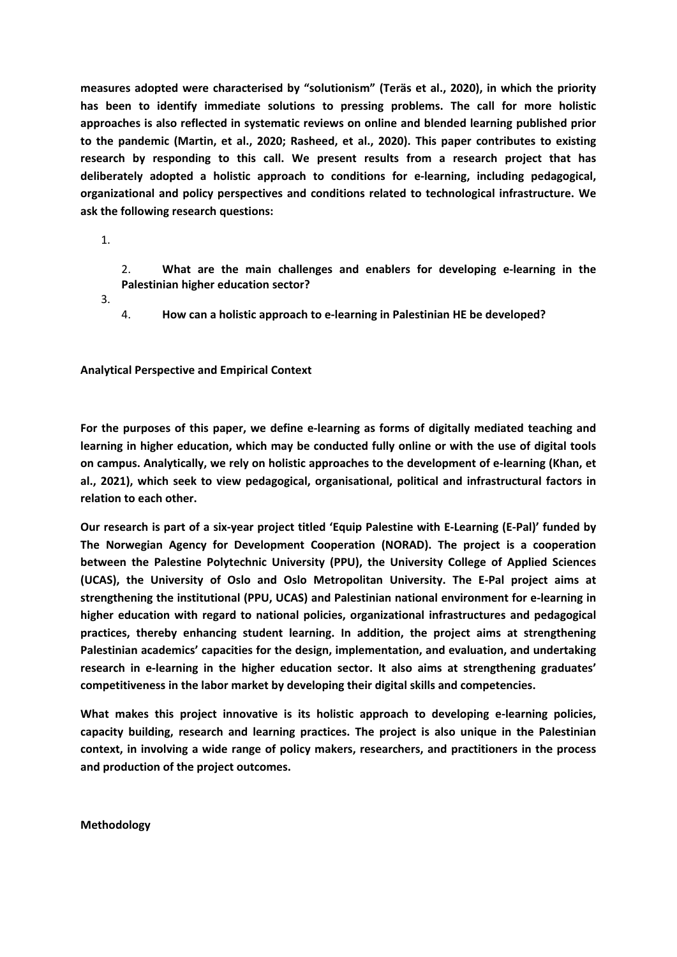**measures adopted were characterised by "solutionism" (Teräs et al., 2020), in which the priority has been to identify immediate solutions to pressing problems. The call for more holistic approaches is also reflected in systematic reviews on online and blended learning published prior to the pandemic (Martin, et al., 2020; Rasheed, et al., 2020). This paper contributes to existing research by responding to this call. We present results from <sup>a</sup> research project that has deliberately adopted <sup>a</sup> holistic approach to conditions for e-learning, including pedagogical, organizational and policy perspectives and conditions related to technological infrastructure. We ask the following research questions:**

1.

2. **What are the main challenges and enablers for developing e-learning in the Palestinian higher education sector?**

3.

4. **How can <sup>a</sup> holistic approach to e-learning in Palestinian HE be developed?**

**Analytical Perspective and Empirical Context**

**For the purposes of this paper, we define e-learning as forms of digitally mediated teaching and learning in higher education, which may be conducted fully online or with the use of digital tools on campus. Analytically, we rely on holistic approaches to the development of e-learning (Khan, et al., 2021), which seek to view pedagogical, organisational, political and infrastructural factors in relation to each other.** 

**Our research is part of <sup>a</sup> six-year project titled 'Equip Palestine with E-Learning (E-Pal)' funded by The Norwegian Agency for Development Cooperation (NORAD). The project is <sup>a</sup> cooperation between the Palestine Polytechnic University (PPU), the University College of Applied Sciences (UCAS), the University of Oslo and Oslo Metropolitan University. The E-Pal project aims at strengthening the institutional (PPU, UCAS) and Palestinian national environment for e-learning in higher education with regard to national policies, organizational infrastructures and pedagogical practices, thereby enhancing student learning. In addition, the project aims at strengthening Palestinian academics' capacities for the design, implementation, and evaluation, and undertaking research in e-learning in the higher education sector. It also aims at strengthening graduates' competitiveness in the labor market by developing their digital skills and competencies.** 

**What makes this project innovative is its holistic approach to developing e-learning policies, capacity building, research and learning practices. The project is also unique in the Palestinian context, in involving <sup>a</sup> wide range of policy makers, researchers, and practitioners in the process and production of the project outcomes.** 

**Methodology**